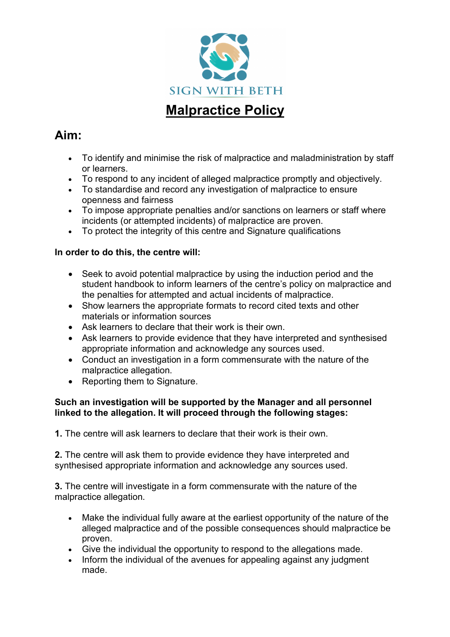

# **Aim:**

- To identify and minimise the risk of malpractice and maladministration by staff or learners.
- To respond to any incident of alleged malpractice promptly and objectively.
- To standardise and record any investigation of malpractice to ensure openness and fairness
- To impose appropriate penalties and/or sanctions on learners or staff where incidents (or attempted incidents) of malpractice are proven.
- To protect the integrity of this centre and Signature qualifications

### **In order to do this, the centre will:**

- Seek to avoid potential malpractice by using the induction period and the student handbook to inform learners of the centre's policy on malpractice and the penalties for attempted and actual incidents of malpractice.
- Show learners the appropriate formats to record cited texts and other materials or information sources
- Ask learners to declare that their work is their own.
- Ask learners to provide evidence that they have interpreted and synthesised appropriate information and acknowledge any sources used.
- Conduct an investigation in a form commensurate with the nature of the malpractice allegation.
- Reporting them to Signature.

#### **Such an investigation will be supported by the Manager and all personnel linked to the allegation. It will proceed through the following stages:**

**1.** The centre will ask learners to declare that their work is their own.

**2.** The centre will ask them to provide evidence they have interpreted and synthesised appropriate information and acknowledge any sources used.

**3.** The centre will investigate in a form commensurate with the nature of the malpractice allegation.

- Make the individual fully aware at the earliest opportunity of the nature of the alleged malpractice and of the possible consequences should malpractice be proven.
- Give the individual the opportunity to respond to the allegations made.
- Inform the individual of the avenues for appealing against any judgment made.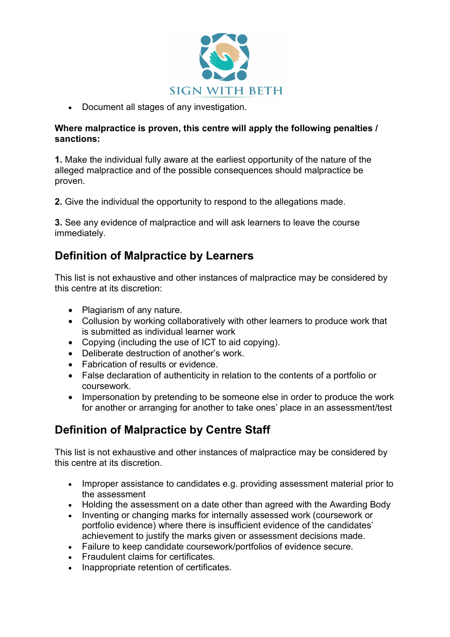

• Document all stages of any investigation.

#### **Where malpractice is proven, this centre will apply the following penalties / sanctions:**

**1.** Make the individual fully aware at the earliest opportunity of the nature of the alleged malpractice and of the possible consequences should malpractice be proven.

**2.** Give the individual the opportunity to respond to the allegations made.

**3.** See any evidence of malpractice and will ask learners to leave the course immediately.

### **Definition of Malpractice by Learners**

This list is not exhaustive and other instances of malpractice may be considered by this centre at its discretion:

- Plagiarism of any nature.
- Collusion by working collaboratively with other learners to produce work that is submitted as individual learner work
- Copying (including the use of ICT to aid copying).
- Deliberate destruction of another's work.
- Fabrication of results or evidence.
- False declaration of authenticity in relation to the contents of a portfolio or coursework.
- Impersonation by pretending to be someone else in order to produce the work for another or arranging for another to take ones' place in an assessment/test

## **Definition of Malpractice by Centre Staff**

This list is not exhaustive and other instances of malpractice may be considered by this centre at its discretion.

- Improper assistance to candidates e.g. providing assessment material prior to the assessment
- Holding the assessment on a date other than agreed with the Awarding Body
- Inventing or changing marks for internally assessed work (coursework or portfolio evidence) where there is insufficient evidence of the candidates' achievement to justify the marks given or assessment decisions made.
- Failure to keep candidate coursework/portfolios of evidence secure.
- Fraudulent claims for certificates.
- Inappropriate retention of certificates.